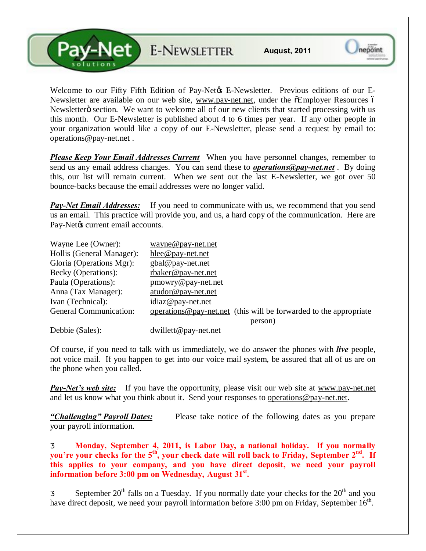**Pay-Net** E-NEWSLETTER

Welcome to our Fifty Fifth Edition of Pay-Net $\alpha$  E-Newsletter. Previous editions of our ENewsletter are available on our web site, [www.pay-net.net,](http://www.pay-net.net/) under the  $\tilde{o}Employer$  Resources  $\tilde{o}$ Newsletter o section. We want to welcome all of our new clients that started processing with us this month. Our E-Newsletter is published about 4 to 6 times per year. If any other people in your organization would like a copy of our E-Newsletter, please send a request by email to: [operations@pay-net.net](mailto:operations@pay-net.net) .

*Please Keep Your Email Addresses Current* When you have personnel changes, remember to send us any email address changes. You can send these to *[operations@pay-net.net](mailto:operations@pay-net.net)* . By doing this, our list will remain current. When we sent out the last E-Newsletter, we got over 50 bounce-backs because the email addresses were no longer valid.

*Pay-Net Email Addresses:* If you need to communicate with us, we recommend that you send us an email. This practice will provide you, and us, a hard copy of the communication. Here are Pay-Netøs current email accounts.

| Wayne Lee (Owner):            | wayne@pay-net.net                                                   |
|-------------------------------|---------------------------------------------------------------------|
| Hollis (General Manager):     | hlee@pay-net.net                                                    |
| Gloria (Operations Mgr):      | gbal@pay-net.net                                                    |
| Becky (Operations):           | rbaker@pay-net.net                                                  |
| Paula (Operations):           | pmowry@pay-net.net                                                  |
| Anna (Tax Manager):           | atudor@pay-net.net                                                  |
| Ivan (Technical):             | $idiaz@pay-net.net$                                                 |
| <b>General Communication:</b> | operations @ pay-net net (this will be forwarded to the appropriate |
|                               | person)                                                             |
| $D_2LL^2 \sim (C_2L_2)$       | $\lambda$ -- $\lambda$ 11.44 $\omega$                               |

Debbie (Sales): dwillett @pay-net.net

Of course, if you need to talk with us immediately, we do answer the phones with *live* people, not voice mail. If you happen to get into our voice mail system, be assured that all of us are on the phone when you called.

*Pay-Net's web site:* If you have the opportunity, please visit our web site at [www.pay-net.net](http://www.pay-net.net/)  and let us know what you think about it. Send your responses to o[perations@pay-net.net.](mailto:website@pay-net.net) 

*"Challenging" Payroll Dates:* Please take notice of the following dates as you prepare your payroll information.

**Monday, September 4, 2011, is Labor Day, a national holiday. If you normally you're your checks for the 5th, your check date will roll back to Friday, September 2nd. If this applies to your company, and you have direct deposit, we need your payroll information before 3:00 pm on Wednesday, August 31st.** 

September  $20<sup>th</sup>$  falls on a Tuesday. If you normally date your checks for the  $20<sup>th</sup>$  and you have direct deposit, we need your payroll information before  $3:00$  pm on Friday, September  $16<sup>th</sup>$ .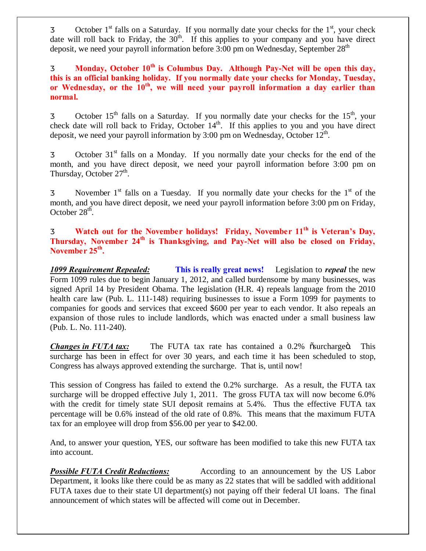October  $1<sup>st</sup>$  falls on a Saturday. If you normally date your checks for the  $1<sup>st</sup>$ , your check date will roll back to Friday, the  $30<sup>th</sup>$ . If this applies to your company and you have direct deposit, we need your payroll information before  $3:00$  pm on Wednesday, September  $28<sup>th</sup>$ 

**Monday, October 10th is Columbus Day. Although Pay-Net will be open this day, this is an official banking holiday. If you normally date your checks for Monday, Tuesday, or Wednesday, or the 10th, we will need your payroll information a day earlier than normal.**

October  $15<sup>th</sup>$  falls on a Saturday. If you normally date your checks for the  $15<sup>th</sup>$ , your check date will roll back to Friday, October  $14<sup>th</sup>$ . If this applies to you and you have direct deposit, we need your payroll information by 3:00 pm on Wednesday, October  $12<sup>th</sup>$ .

October  $31<sup>st</sup>$  falls on a Monday. If you normally date your checks for the end of the month, and you have direct deposit, we need your payroll information before 3:00 pm on Thursday, October  $27<sup>th</sup>$ .

November  $1<sup>st</sup>$  falls on a Tuesday. If you normally date your checks for the  $1<sup>st</sup>$  of the month, and you have direct deposit, we need your payroll information before 3:00 pm on Friday, October  $28<sup>th</sup>$ .

**Watch out for the November holidays! Friday, November 11th is Veteran's Day, Thursday, November 24th is Thanksgiving, and Pay-Net will also be closed on Friday, November 25th.**

*1099 Requirement Repealed:* **This is really great news!** Legislation to *repeal* the new Form 1099 rules due to begin January 1, 2012, and called burdensome by many businesses, was signed April 14 by President Obama. The legislation (H.R. 4) repeals language from the 2010 health care law (Pub. L. 111-148) requiring businesses to issue a Form 1099 for payments to companies for goods and services that exceed \$600 per year to each vendor. It also repeals an expansion of those rules to include landlords, which was enacted under a small business law (Pub. L. No. 111-240).

*Changes in FUTA tax:* The FUTA tax rate has contained a 0.2%  $\tilde{o}$ surcharge $\tilde{o}$ . This surcharge has been in effect for over 30 years, and each time it has been scheduled to stop, Congress has always approved extending the surcharge. That is, until now!

This session of Congress has failed to extend the 0.2% surcharge. As a result, the FUTA tax surcharge will be dropped effective July 1, 2011. The gross FUTA tax will now become 6.0% with the credit for timely state SUI deposit remains at 5.4%. Thus the effective FUTA tax percentage will be 0.6% instead of the old rate of 0.8%. This means that the maximum FUTA tax for an employee will drop from \$56.00 per year to \$42.00.

And, to answer your question, YES, our software has been modified to take this new FUTA tax into account.

*Possible FUTA Credit Reductions:* According to an announcement by the US Labor Department, it looks like there could be as many as 22 states that will be saddled with additional FUTA taxes due to their state UI department(s) not paying off their federal UI loans. The final announcement of which states will be affected will come out in December.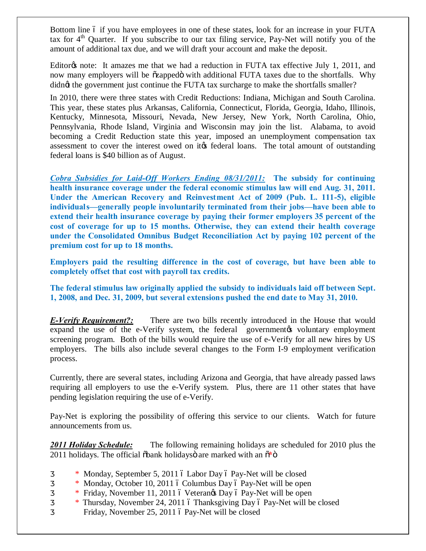Bottom line 6 if you have employees in one of these states, look for an increase in your FUTA tax for  $4<sup>th</sup>$  Quarter. If you subscribe to our tax filing service, Pay-Net will notify you of the amount of additional tax due, and we will draft your account and make the deposit.

Editor<sub>of</sub> note: It amazes me that we had a reduction in FUTA tax effective July 1, 2011, and now many employers will be  $\tilde{\alpha}$ zapped $\tilde{\alpha}$  with additional FUTA taxes due to the shortfalls. Why didng the government just continue the FUTA tax surcharge to make the shortfalls smaller?

In 2010, there were three states with Credit Reductions: Indiana, Michigan and South Carolina. This year, these states plus Arkansas, California, Connecticut, Florida, Georgia, Idaho, Illinois, Kentucky, Minnesota, Missouri, Nevada, New Jersey, New York, North Carolina, Ohio, Pennsylvania, Rhode Island, Virginia and Wisconsin may join the list. Alabama, to avoid becoming a Credit Reduction state this year, imposed an unemployment compensation tax assessment to cover the interest owed on it the federal loans. The total amount of outstanding federal loans is \$40 billion as of August.

*Cobra Subsidies for Laid-Off Workers Ending 08/31/2011:* **The subsidy for continuing health insurance coverage under the federal economic stimulus law will end Aug. 31, 2011. Under the American Recovery and Reinvestment Act of 2009 (Pub. L. 111-5), eligible individuals—generally people involuntarily terminated from their jobs—have been able to extend their health insurance coverage by paying their former employers 35 percent of the cost of coverage for up to 15 months. Otherwise, they can extend their health coverage under the Consolidated Omnibus Budget Reconciliation Act by paying 102 percent of the premium cost for up to 18 months.**

**Employers paid the resulting difference in the cost of coverage, but have been able to completely offset that cost with payroll tax credits.**

**The federal stimulus law originally applied the subsidy to individuals laid off between Sept. 1, 2008, and Dec. 31, 2009, but several extensions pushed the end date to May 31, 2010.**

**E-Verify Requirement?:** There are two bills recently introduced in the House that would expand the use of the e-Verify system, the federal government to voluntary employment screening program. Both of the bills would require the use of e-Verify for all new hires by US employers. The bills also include several changes to the Form I-9 employment verification process.

Currently, there are several states, including Arizona and Georgia, that have already passed laws requiring all employers to use the e-Verify system. Plus, there are 11 other states that have pending legislation requiring the use of e-Verify.

Pay-Net is exploring the possibility of offering this service to our clients. Watch for future announcements from us.

*2011 Holiday Schedule:* The following remaining holidays are scheduled for 2010 plus the 2011 holidays. The official  $\delta$ bank holidays are marked with an  $\delta^*$  $\delta$ 

- \* Monday, September 5, 2011 ó Labor Day ó Pay-Net will be closed
- \* Monday, October 10, 2011 6 Columbus Day 6 Pay-Net will be open
- \* Friday, November 11, 2011  $\acute{o}$  Veterangs Day  $\acute{o}$  Pay-Net will be open
- $*$  Thursday, November 24, 2011 6 Thanksgiving Day 6 Pay-Net will be closed Friday, November 25, 2011 ó Pay-Net will be closed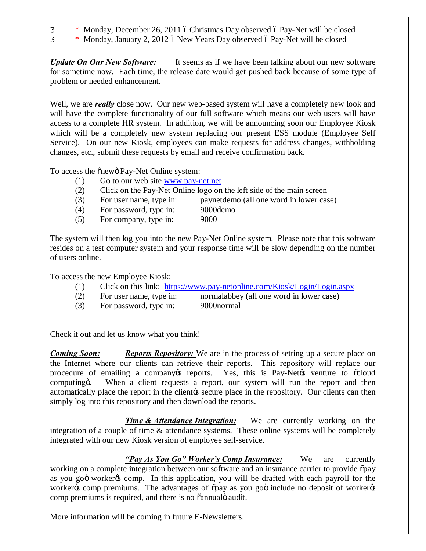- $*$  Monday, December 26, 2011 6 Christmas Day observed 6 Pay-Net will be closed
- \* Monday, January 2, 2012 6 New Years Day observed 6 Pay-Net will be closed

*Update On Our New Software:* It seems as if we have been talking about our new software for sometime now. Each time, the release date would get pushed back because of some type of problem or needed enhancement.

Well, we are *really* close now. Our new web-based system will have a completely new look and will have the complete functionality of our full software which means our web users will have access to a complete HR system. In addition, we will be announcing soon our Employee Kiosk which will be a completely new system replacing our present ESS module (Employee Self Service). On our new Kiosk, employees can make requests for address changes, withholding changes, etc., submit these requests by email and receive confirmation back.

To access the  $\tilde{o}$ newö Pay-Net Online system:

- (1) Go to our web site [www.pay-net.net](http://www.pay-net.net/)
- (2) Click on the Pay-Net Online logo on the left side of the main screen
- (3) For user name, type in: paynetdemo (all one word in lower case)
- (4) For password, type in: 9000demo
- (5) For company, type in: 9000

The system will then log you into the new Pay-Net Online system. Please note that this software resides on a test computer system and your response time will be slow depending on the number of users online.

To access the new Employee Kiosk:

- (1) Click on this link: <https://www.pay-netonline.com/Kiosk/Login/Login.aspx>
- (2) For user name, type in: normalabbey (all one word in lower case)
- (3) For password, type in: 9000normal

Check it out and let us know what you think!

*Coming Soon: Reports Repository:* We are in the process of setting up a secure place on the Internet where our clients can retrieve their reports. This repository will replace our procedure of emailing a company eports. Yes, this is Pay-Net to venture to  $\tilde{\alpha}$  cloud computing . When a client requests a report, our system will run the report and then automatically place the report in the client the secure place in the repository. Our clients can then simply log into this repository and then download the reports.

**Time & Attendance Integration:** We are currently working on the integration of a couple of time & attendance systems. These online systems will be completely integrated with our new Kiosk version of employee self-service.

*"Pay As You Go" Worker's Comp Insurance:* We are currently working on a complete integration between our software and an insurance carrier to provide  $\tilde{p}$ ay as you goo worker to comp. In this application, you will be drafted with each payroll for the worker of comp premiums. The advantages of  $\tilde{\rho}$  opay as you good include no deposit of worker comp premiums is required, and there is no  $\tilde{o}$  annual  $\ddot{o}$  audit.

More information will be coming in future E-Newsletters.